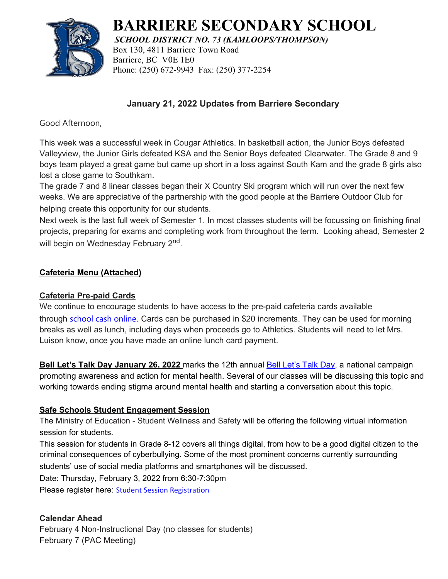

# **BARRIERE SECONDARY SCHOOL**

*SCHOOL DISTRICT NO. 73 (KAMLOOPS/THOMPSON)* Box 130, 4811 Barriere Town Road Barriere, BC V0E 1E0 Phone: (250) 672-9943 Fax: (250) 377-2254

## **January 21, 2022 Updates from Barriere Secondary**

Good Afternoon,

This week was a successful week in Cougar Athletics. In basketball action, the Junior Boys defeated Valleyview, the Junior Girls defeated KSA and the Senior Boys defeated Clearwater. The Grade 8 and 9 boys team played a great game but came up short in a loss against South Kam and the grade 8 girls also lost a close game to Southkam.

The grade 7 and 8 linear classes began their X Country Ski program which will run over the next few weeks. We are appreciative of the partnership with the good people at the Barriere Outdoor Club for helping create this opportunity for our students.

Next week is the last full week of Semester 1. In most classes students will be focussing on finishing final projects, preparing for exams and completing work from throughout the term. Looking ahead, Semester 2 will begin on Wednesday February 2<sup>nd</sup>.

### **Cafeteria Menu (Attached)**

#### **Cafeteria Pre-paid Cards**

We continue to encourage students to have access to the pre-paid cafeteria cards available

through [school cash online](https://sd73.schoolcashonline.com/). Cards can be purchased in \$20 increments. They can be used for morning breaks as well as lunch, including days when proceeds go to Athletics. Students will need to let Mrs. Luison know, once you have made an online lunch card payment.

 **Bell Let's Talk Day January 26, 2022** marks the 12th annual [Bell Let's Talk Day,](https://letstalk.bell.ca/en/) a national campaign promoting awareness and action for mental health. Several of our classes will be discussing this topic and working towards ending stigma around mental health and starting a conversation about this topic.

#### **Safe Schools Student Engagement Session**

The Ministry of Education - Student Wellness and Safety will be offering the following virtual information session for students.

This session for students in Grade 8-12 covers all things digital, from how to be a good digital citizen to the criminal consequences of cyberbullying. Some of the most prominent concerns currently surrounding students' use of social media platforms and smartphones will be discussed.

Date: Thursday, February 3, 2022 from 6:30-7:30pm

Please register here: **Student Session [Registration](https://event-wizard.com/events/SocialMediaAwarenessStudentFeb32022pm/%20)** 

## **Calendar Ahead**

February 4 Non-Instructional Day (no classes for students) February 7 (PAC Meeting)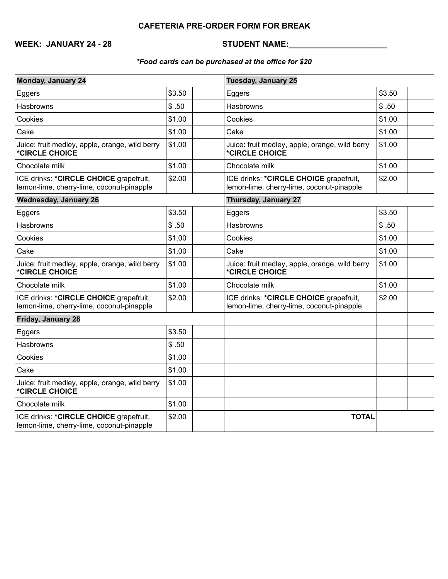## **CAFETERIA PRE-ORDER FORM FOR BREAK**

**WEEK: JANUARY 24 - 28 STUDENT NAME:\_\_\_\_\_\_\_\_\_\_\_\_\_\_\_\_\_\_\_\_\_\_**

#### *\*Food cards can be purchased at the office for \$20*

| <b>Monday, January 24</b>                                                           |        | <b>Tuesday, January 25</b>                                                          |        |
|-------------------------------------------------------------------------------------|--------|-------------------------------------------------------------------------------------|--------|
| Eggers                                                                              | \$3.50 | Eggers                                                                              | \$3.50 |
| <b>Hasbrowns</b>                                                                    | \$.50  | <b>Hasbrowns</b>                                                                    | \$.50  |
| Cookies                                                                             | \$1.00 | Cookies                                                                             | \$1.00 |
| Cake                                                                                | \$1.00 | Cake                                                                                | \$1.00 |
| Juice: fruit medley, apple, orange, wild berry<br>*CIRCLE CHOICE                    | \$1.00 | Juice: fruit medley, apple, orange, wild berry<br>*CIRCLE CHOICE                    | \$1.00 |
| Chocolate milk                                                                      | \$1.00 | Chocolate milk                                                                      | \$1.00 |
| ICE drinks: *CIRCLE CHOICE grapefruit,<br>lemon-lime, cherry-lime, coconut-pinapple | \$2.00 | ICE drinks: *CIRCLE CHOICE grapefruit,<br>lemon-lime, cherry-lime, coconut-pinapple | \$2.00 |
| <b>Wednesday, January 26</b>                                                        |        | <b>Thursday, January 27</b>                                                         |        |
| Eggers                                                                              | \$3.50 | Eggers                                                                              | \$3.50 |
| Hasbrowns                                                                           | \$.50  | Hasbrowns                                                                           | \$.50  |
| Cookies                                                                             | \$1.00 | Cookies                                                                             | \$1.00 |
| Cake                                                                                | \$1.00 | Cake                                                                                | \$1.00 |
| Juice: fruit medley, apple, orange, wild berry<br>*CIRCLE CHOICE                    | \$1.00 | Juice: fruit medley, apple, orange, wild berry<br>*CIRCLE CHOICE                    | \$1.00 |
| Chocolate milk                                                                      | \$1.00 | Chocolate milk                                                                      | \$1.00 |
| ICE drinks: *CIRCLE CHOICE grapefruit,<br>lemon-lime, cherry-lime, coconut-pinapple | \$2.00 | ICE drinks: *CIRCLE CHOICE grapefruit,<br>lemon-lime, cherry-lime, coconut-pinapple | \$2.00 |
| Friday, January 28                                                                  |        |                                                                                     |        |
| Eggers                                                                              | \$3.50 |                                                                                     |        |
| <b>Hasbrowns</b>                                                                    | \$.50  |                                                                                     |        |
| Cookies                                                                             | \$1.00 |                                                                                     |        |
| Cake                                                                                | \$1.00 |                                                                                     |        |
| Juice: fruit medley, apple, orange, wild berry<br>*CIRCLE CHOICE                    | \$1.00 |                                                                                     |        |
| Chocolate milk                                                                      | \$1.00 |                                                                                     |        |
| ICE drinks: *CIRCLE CHOICE grapefruit,<br>lemon-lime, cherry-lime, coconut-pinapple | \$2.00 | <b>TOTAL</b>                                                                        |        |